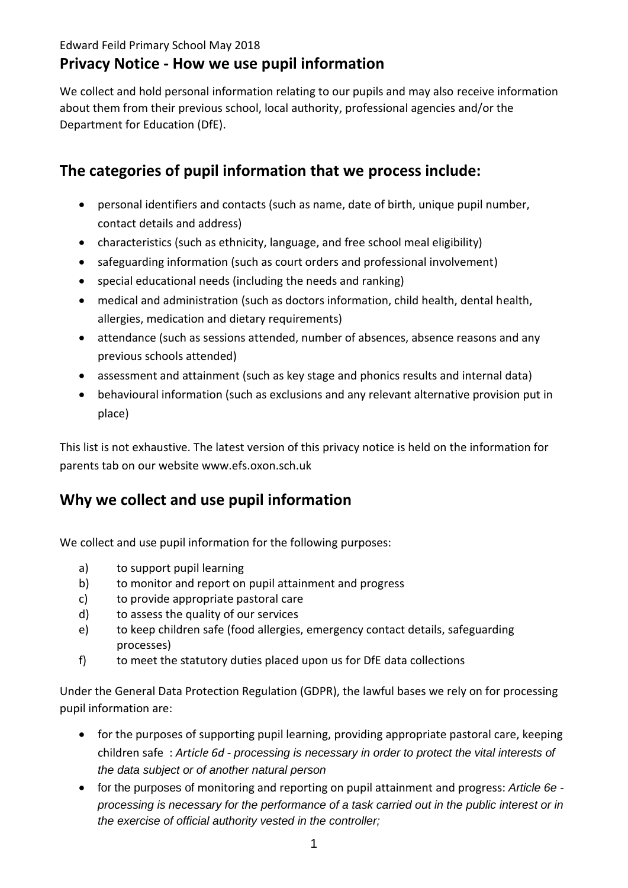### Edward Feild Primary School May 2018

## **Privacy Notice - How we use pupil information**

We collect and hold personal information relating to our pupils and may also receive information about them from their previous school, local authority, professional agencies and/or the Department for Education (DfE).

# **The categories of pupil information that we process include:**

- personal identifiers and contacts (such as name, date of birth, unique pupil number, contact details and address)
- characteristics (such as ethnicity, language, and free school meal eligibility)
- safeguarding information (such as court orders and professional involvement)
- special educational needs (including the needs and ranking)
- medical and administration (such as doctors information, child health, dental health, allergies, medication and dietary requirements)
- attendance (such as sessions attended, number of absences, absence reasons and any previous schools attended)
- assessment and attainment (such as key stage and phonics results and internal data)
- behavioural information (such as exclusions and any relevant alternative provision put in place)

This list is not exhaustive. The latest version of this privacy notice is held on the information for parents tab on our website www.efs.oxon.sch.uk

# **Why we collect and use pupil information**

We collect and use pupil information for the following purposes:

- a) to support pupil learning
- b) to monitor and report on pupil attainment and progress
- c) to provide appropriate pastoral care
- d) to assess the quality of our services
- e) to keep children safe (food allergies, emergency contact details, safeguarding processes)
- f) to meet the statutory duties placed upon us for DfE data collections

Under the General Data Protection Regulation (GDPR), the lawful bases we rely on for processing pupil information are:

- for the purposes of supporting pupil learning, providing appropriate pastoral care, keeping children safe : *Article 6d - processing is necessary in order to protect the vital interests of the data subject or of another natural person*
- for the purposes of monitoring and reporting on pupil attainment and progress: *Article 6e processing is necessary for the performance of a task carried out in the public interest or in the exercise of official authority vested in the controller;*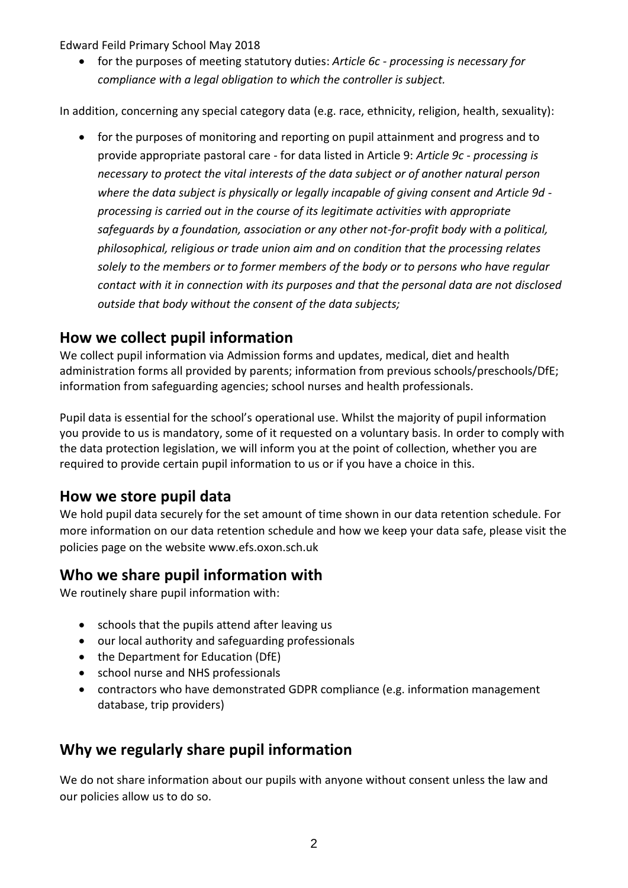Edward Feild Primary School May 2018

 for the purposes of meeting statutory duties: *Article 6c - processing is necessary for compliance with a legal obligation to which the controller is subject.*

In addition, concerning any special category data (e.g. race, ethnicity, religion, health, sexuality):

• for the purposes of monitoring and reporting on pupil attainment and progress and to provide appropriate pastoral care - for data listed in Article 9: *Article 9c - processing is necessary to protect the vital interests of the data subject or of another natural person where the data subject is physically or legally incapable of giving consent and Article 9d processing is carried out in the course of its legitimate activities with appropriate safeguards by a foundation, association or any other not-for-profit body with a political, philosophical, religious or trade union aim and on condition that the processing relates solely to the members or to former members of the body or to persons who have regular contact with it in connection with its purposes and that the personal data are not disclosed outside that body without the consent of the data subjects;*

## **How we collect pupil information**

We collect pupil information via Admission forms and updates, medical, diet and health administration forms all provided by parents; information from previous schools/preschools/DfE; information from safeguarding agencies; school nurses and health professionals.

Pupil data is essential for the school's operational use. Whilst the majority of pupil information you provide to us is mandatory, some of it requested on a voluntary basis. In order to comply with the data protection legislation, we will inform you at the point of collection, whether you are required to provide certain pupil information to us or if you have a choice in this.

## **How we store pupil data**

We hold pupil data securely for the set amount of time shown in our data retention schedule. For more information on our data retention schedule and how we keep your data safe, please visit the policies page on the website www.efs.oxon.sch.uk

## **Who we share pupil information with**

We routinely share pupil information with:

- schools that the pupils attend after leaving us
- our local authority and safeguarding professionals
- the Department for Education (DfE)
- school nurse and NHS professionals
- contractors who have demonstrated GDPR compliance (e.g. information management database, trip providers)

## **Why we regularly share pupil information**

We do not share information about our pupils with anyone without consent unless the law and our policies allow us to do so.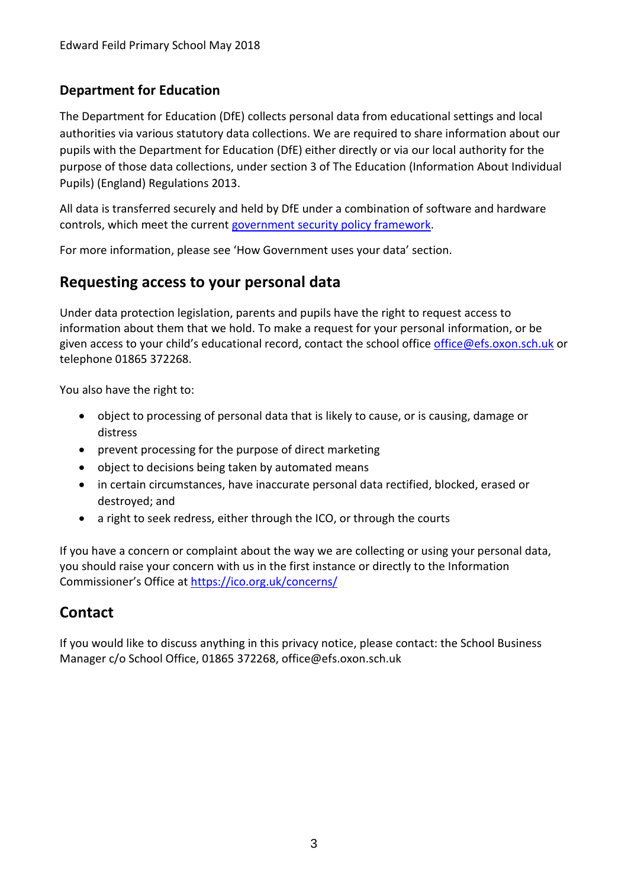## **Department for Education**

The Department for Education (DfE) collects personal data from educational settings and local authorities via various statutory data collections. We are required to share information about our pupils with the Department for Education (DfE) either directly or via our local authority for the purpose of those data collections, under section 3 of The Education (Information About Individual Pupils) (England) Regulations 2013.

All data is transferred securely and held by DfE under a combination of software and hardware controls, which meet the current [government security policy framework.](https://www.gov.uk/government/publications/security-policy-framework)

For more information, please see 'How Government uses your data' section.

## **Requesting access to your personal data**

Under data protection legislation, parents and pupils have the right to request access to information about them that we hold. To make a request for your personal information, or be given access to your child's educational record, contact the school office [office@efs.oxon.sch.uk](mailto:office@efs.oxon.sch.uk) or telephone 01865 372268.

You also have the right to:

- object to processing of personal data that is likely to cause, or is causing, damage or distress
- prevent processing for the purpose of direct marketing
- object to decisions being taken by automated means
- in certain circumstances, have inaccurate personal data rectified, blocked, erased or destroyed; and
- a right to seek redress, either through the ICO, or through the courts

If you have a concern or complaint about the way we are collecting or using your personal data, you should raise your concern with us in the first instance or directly to the Information Commissioner's Office at <https://ico.org.uk/concerns/>

## **Contact**

If you would like to discuss anything in this privacy notice, please contact: the School Business Manager c/o School Office, 01865 372268, office@efs.oxon.sch.uk